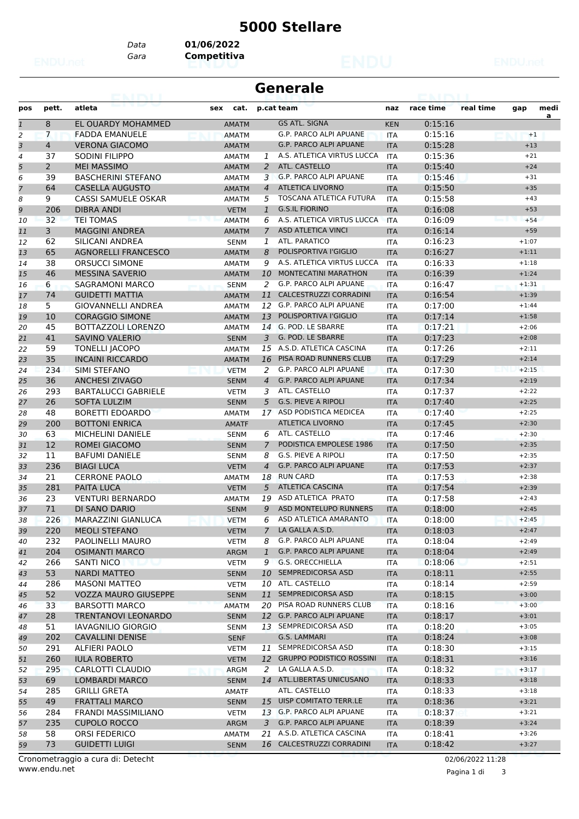## **5000 Stellare**

*Data* **01/06/2022**

*Gara* **Competitiva**

| <b>Generale</b><br>ean i fail |                |                             |              |                |                                 |            |           |           |         |      |  |
|-------------------------------|----------------|-----------------------------|--------------|----------------|---------------------------------|------------|-----------|-----------|---------|------|--|
| pos                           | pett.          | atleta                      | sex<br>cat.  |                | p.cat team                      | naz        | race time | real time | gap     | medi |  |
| $\mathbf{1}$                  | 8              | EL OUARDY MOHAMMED          | <b>AMATM</b> |                | <b>GS ATL. SIGNA</b>            | <b>KEN</b> | 0:15:16   |           |         | a    |  |
| $\overline{c}$                | $\overline{7}$ | <b>FADDA EMANUELE</b>       | <b>AMATM</b> |                | G.P. PARCO ALPI APUANE          | <b>ITA</b> | 0:15:16   |           | $+1$    |      |  |
| 3                             | $\overline{4}$ | <b>VERONA GIACOMO</b>       | <b>AMATM</b> |                | <b>G.P. PARCO ALPI APUANE</b>   | <b>ITA</b> | 0:15:28   |           | $+13$   |      |  |
| 4                             | 37             | SODINI FILIPPO              | <b>AMATM</b> | 1              | A.S. ATLETICA VIRTUS LUCCA      | <b>ITA</b> | 0:15:36   |           | $+21$   |      |  |
| 5                             | 2              | <b>MEI MASSIMO</b>          | <b>AMATM</b> | 2              | ATL. CASTELLO                   | <b>ITA</b> | 0:15:40   |           | $+24$   |      |  |
| 6                             | 39             | <b>BASCHERINI STEFANO</b>   | AMATM        | 3              | G.P. PARCO ALPI APUANE          | <b>ITA</b> | 0:15:46   |           | $+31$   |      |  |
| $\overline{7}$                | 64             | <b>CASELLA AUGUSTO</b>      | <b>AMATM</b> | $\overline{4}$ | <b>ATLETICA LIVORNO</b>         | <b>ITA</b> | 0:15:50   |           | $+35$   |      |  |
| 8                             | 9              | CASSI SAMUELE OSKAR         | <b>AMATM</b> | 5              | TOSCANA ATLETICA FUTURA         | <b>ITA</b> | 0:15:58   |           | $+43$   |      |  |
| 9                             | 206            | <b>DIBRA ANDI</b>           | <b>VETM</b>  | $\mathbf{1}$   | <b>G.S.IL FIORINO</b>           | <b>ITA</b> | 0:16:08   |           | $+53$   |      |  |
| 10                            | 32             | <b>TEI TOMAS</b>            | <b>AMATM</b> | 6              | A.S. ATLETICA VIRTUS LUCCA      | <b>ITA</b> | 0:16:09   |           | $+54$   |      |  |
| 11                            | 3              | <b>MAGGINI ANDREA</b>       | <b>AMATM</b> | 7              | <b>ASD ATLETICA VINCI</b>       | <b>ITA</b> | 0:16:14   |           | $+59$   |      |  |
| 12                            | 62             | SILICANI ANDREA             | <b>SENM</b>  | 1              | ATL. PARATICO                   | <b>ITA</b> | 0:16:23   |           | $+1:07$ |      |  |
| 13                            | 65             | <b>AGNORELLI FRANCESCO</b>  | <b>AMATM</b> | 8              | POLISPORTIVA l'GIGLIO           | <b>ITA</b> | 0:16:27   |           | $+1:11$ |      |  |
| 14                            | 38             | <b>ORSUCCI SIMONE</b>       | <b>AMATM</b> | 9              | A.S. ATLETICA VIRTUS LUCCA      | <b>ITA</b> | 0:16:33   |           | $+1:18$ |      |  |
| 15                            | 46             | <b>MESSINA SAVERIO</b>      | <b>AMATM</b> | 10             | <b>MONTECATINI MARATHON</b>     | <b>ITA</b> | 0:16:39   |           | $+1:24$ |      |  |
| 16                            | 6              | SAGRAMONI MARCO             | <b>SENM</b>  | 2              | G.P. PARCO ALPI APUANE          | <b>ITA</b> | 0:16:47   |           | $+1:31$ |      |  |
| 17                            | 74             | <b>GUIDETTI MATTIA</b>      | <b>AMATM</b> | 11             | CALCESTRUZZI CORRADINI          | <b>ITA</b> | 0:16:54   |           | $+1:39$ |      |  |
| 18                            | 5.             | <b>GIOVANNELLI ANDREA</b>   | <b>AMATM</b> | 12             | G.P. PARCO ALPI APUANE          | <b>ITA</b> | 0:17:00   |           | $+1:44$ |      |  |
| 19                            | 10             | <b>CORAGGIO SIMONE</b>      | <b>AMATM</b> | 13             | POLISPORTIVA l'GIGLIO           | <b>ITA</b> | 0:17:14   |           | $+1:58$ |      |  |
| 20                            | 45             | BOTTAZZOLI LORENZO          | <b>AMATM</b> | 14             | G. POD. LE SBARRE               | <b>ITA</b> | 0:17:21   |           | $+2:06$ |      |  |
| 21                            | 41             | <b>SAVINO VALERIO</b>       | <b>SENM</b>  | 3              | G. POD. LE SBARRE               | <b>ITA</b> | 0:17:23   |           | $+2:08$ |      |  |
| 22                            | 59             | <b>TONELLI JACOPO</b>       | <b>AMATM</b> |                | 15 A.S.D. ATLETICA CASCINA      | <b>ITA</b> | 0:17:26   |           | $+2:11$ |      |  |
| 23                            | 35             | <b>INCAINI RICCARDO</b>     | <b>AMATM</b> | 16             | PISA ROAD RUNNERS CLUB          | <b>ITA</b> | 0:17:29   |           | $+2:14$ |      |  |
| 24                            | 234            | SIMI STEFANO                | <b>VETM</b>  | 2              | G.P. PARCO ALPI APUANE          | <b>ITA</b> | 0:17:30   |           | $+2:15$ |      |  |
| 25                            | 36             | <b>ANCHESI ZIVAGO</b>       | <b>SENM</b>  | $\overline{4}$ | <b>G.P. PARCO ALPI APUANE</b>   | <b>ITA</b> | 0:17:34   |           | $+2:19$ |      |  |
| 26                            | 293            | <b>BARTALUCCI GABRIELE</b>  | <b>VETM</b>  | 3              | ATL. CASTELLO                   | <b>ITA</b> | 0:17:37   |           | $+2:22$ |      |  |
| 27                            | 26             | <b>SOFTA LULZIM</b>         | <b>SENM</b>  | 5              | <b>G.S. PIEVE A RIPOLI</b>      | <b>ITA</b> | 0:17:40   |           | $+2:25$ |      |  |
| 28                            | 48             | BORETTI EDOARDO             | AMATM        | 17             | ASD PODISTICA MEDICEA           | <b>ITA</b> | 0:17:40   |           | $+2:25$ |      |  |
| 29                            | 200            | <b>BOTTONI ENRICA</b>       | <b>AMATF</b> |                | <b>ATLETICA LIVORNO</b>         | <b>ITA</b> | 0:17:45   |           | $+2:30$ |      |  |
| 30                            | 63             | <b>MICHELINI DANIELE</b>    | <b>SENM</b>  | 6              | ATL. CASTELLO                   | <b>ITA</b> | 0:17:46   |           | $+2:30$ |      |  |
| 31                            | 12             | ROMEI GIACOMO               | <b>SENM</b>  | $\overline{7}$ | PODISTICA EMPOLESE 1986         | <b>ITA</b> | 0:17:50   |           | $+2:35$ |      |  |
| 32                            | 11             | <b>BAFUMI DANIELE</b>       | <b>SENM</b>  | 8              | G.S. PIEVE A RIPOLI             | <b>ITA</b> | 0:17:50   |           | $+2:35$ |      |  |
| 33                            | 236            | <b>BIAGI LUCA</b>           | <b>VETM</b>  | 4              | <b>G.P. PARCO ALPI APUANE</b>   | <b>ITA</b> | 0:17:53   |           | $+2:37$ |      |  |
| 34                            | 21             | <b>CERRONE PAOLO</b>        | <b>AMATM</b> | 18             | <b>RUN CARD</b>                 | <b>ITA</b> | 0:17:53   |           | $+2:38$ |      |  |
| 35                            | 281            | PAITA LUCA                  | <b>VETM</b>  | 5              | <b>ATLETICA CASCINA</b>         | <b>ITA</b> | 0:17:54   |           | $+2:39$ |      |  |
| 36                            | 23             | <b>VENTURI BERNARDO</b>     | AMATM        | 19             | ASD ATLETICA PRATO              | <b>ITA</b> | 0:17:58   |           | $+2:43$ |      |  |
| 37                            | 71             | DI SANO DARIO               | <b>SENM</b>  | 9              | <b>ASD MONTELUPO RUNNERS</b>    | <b>ITA</b> | 0:18:00   |           | $+2:45$ |      |  |
| 38                            | 226            | MARAZZINI GIANLUCA          | <b>VETM</b>  |                | 6 ASD ATLETICA AMARANTO         | <b>ITA</b> | 0:18:00   |           | $+2:45$ |      |  |
| 39                            | 220            | <b>MEOLI STEFANO</b>        | <b>VETM</b>  | $\mathcal{I}$  | LA GALLA A.S.D.                 | <b>ITA</b> | 0:18:03   |           | $+2:47$ |      |  |
| 40                            | 232            | PAOLINELLI MAURO            | <b>VETM</b>  | 8              | G.P. PARCO ALPI APUANE          | ITA        | 0:18:04   |           | $+2:49$ |      |  |
| 41                            | 204            | <b>OSIMANTI MARCO</b>       | ARGM         | $\mathbf{1}$   | G.P. PARCO ALPI APUANE          | <b>ITA</b> | 0:18:04   |           | $+2:49$ |      |  |
| 42                            | 266            | <b>SANTI NICO</b>           | <b>VETM</b>  | 9              | G.S. ORECCHIELLA                | ITA        | 0:18:06   |           | $+2:51$ |      |  |
| 43                            | 53             | <b>NARDI MATTEO</b>         | <b>SENM</b>  |                | 10 SEMPREDICORSA ASD            | <b>ITA</b> | 0:18:11   |           | $+2:55$ |      |  |
| 44                            | 286            | <b>MASONI MATTEO</b>        | <b>VETM</b>  | 10             | ATL. CASTELLO                   | ITA        | 0:18:14   |           | $+2:59$ |      |  |
| 45                            | 52             | <b>VOZZA MAURO GIUSEPPE</b> | <b>SENM</b>  | 11             | SEMPREDICORSA ASD               | <b>ITA</b> | 0:18:15   |           | $+3:00$ |      |  |
| 46                            | 33             | <b>BARSOTTI MARCO</b>       | <b>AMATM</b> |                | 20 PISA ROAD RUNNERS CLUB       | <b>ITA</b> | 0:18:16   |           | $+3:00$ |      |  |
| 47                            | 28             | TRENTANOVI LEONARDO         | <b>SENM</b>  | 12             | G.P. PARCO ALPI APUANE          | <b>ITA</b> | 0:18:17   |           | $+3:01$ |      |  |
| 48                            | 51             | IAVAGNILIO GIORGIO          | <b>SENM</b>  |                | 13 SEMPREDICORSA ASD            | ITA        | 0:18:20   |           | $+3:05$ |      |  |
| 49                            | 202            | <b>CAVALLINI DENISE</b>     | <b>SENF</b>  |                | G.S. LAMMARI                    | <b>ITA</b> | 0:18:24   |           | $+3:08$ |      |  |
| 50                            | 291            | ALFIERI PAOLO               | <b>VETM</b>  |                | 11 SEMPREDICORSA ASD            | ITA        | 0:18:30   |           | $+3:15$ |      |  |
| 51                            | 260            | <b>IULA ROBERTO</b>         | <b>VETM</b>  | 12             | <b>GRUPPO PODISTICO ROSSINI</b> | <b>ITA</b> | 0:18:31   |           | $+3:16$ |      |  |
| 52                            | 295            | CARLOTTI CLAUDIO            | ARGM         | 2              | LA GALLA A.S.D.                 | ITA        | 0:18:32   |           | $+3:17$ |      |  |
| 53                            | 69             | <b>LOMBARDI MARCO</b>       | <b>SENM</b>  |                | 14 ATL.LIBERTAS UNICUSANO       | <b>ITA</b> | 0:18:33   |           | $+3:18$ |      |  |
| 54                            | 285            | <b>GRILLI GRETA</b>         | AMATF        |                | ATL. CASTELLO                   | ITA        | 0:18:33   |           | $+3:18$ |      |  |
| 55                            | 49             | <b>FRATTALI MARCO</b>       | <b>SENM</b>  |                | 15 UISP COMITATO TERR.LE        | <b>ITA</b> | 0:18:36   |           | $+3:21$ |      |  |
| 56                            | 284            | FRANDI MASSIMILIANO         | <b>VETM</b>  |                | 13 G.P. PARCO ALPI APUANE       | ITA        | 0:18:37   |           | $+3:21$ |      |  |
| 57                            | 235            | <b>CUPOLO ROCCO</b>         | ARGM         | 3              | G.P. PARCO ALPI APUANE          | <b>ITA</b> | 0:18:39   |           | $+3:24$ |      |  |
| 58                            | 58             | ORSI FEDERICO               | <b>AMATM</b> | 21             | A.S.D. ATLETICA CASCINA         | ITA        | 0:18:41   |           | $+3:26$ |      |  |
| 59                            | 73             | <b>GUIDETTI LUIGI</b>       | <b>SENM</b>  | 16             | CALCESTRUZZI CORRADINI          | <b>ITA</b> | 0:18:42   |           | $+3:27$ |      |  |

www.endu.net Cronometraggio a cura di: Detecht 02/06/2022 11:28

Pagina 1 di 3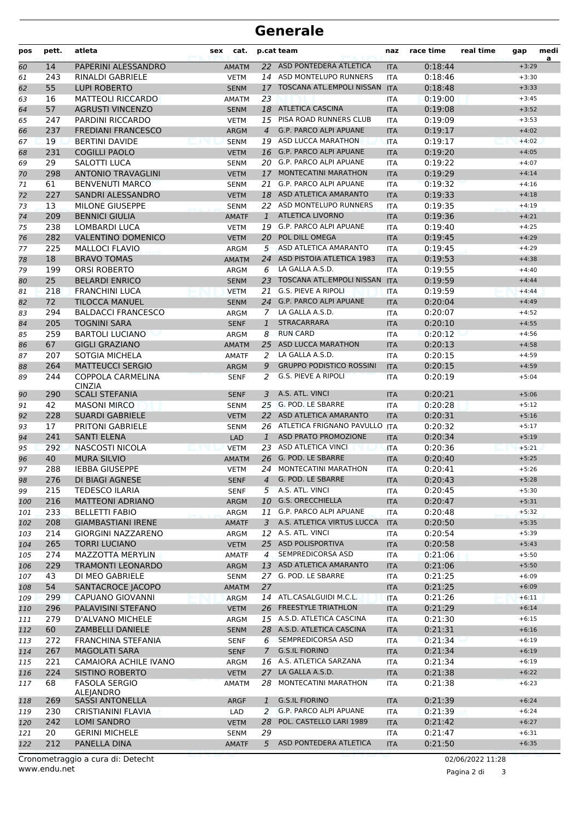## **Generale**

| pos      | pett.      | atleta                                        | sex<br>cat.                |                | p.cat team                                         | naz                      | race time          | real time | gap                | medi<br>a |
|----------|------------|-----------------------------------------------|----------------------------|----------------|----------------------------------------------------|--------------------------|--------------------|-----------|--------------------|-----------|
| 60       | 14         | PAPERINI ALESSANDRO                           | <b>AMATM</b>               |                | 22 ASD PONTEDERA ATLETICA                          | <b>ITA</b>               | 0:18:44            |           | $+3:29$            |           |
| 61       | 243        | RINALDI GABRIELE                              | <b>VETM</b>                |                | 14 ASD MONTELUPO RUNNERS                           | <b>ITA</b>               | 0:18:46            |           | $+3:30$            |           |
| 62       | 55         | <b>LUPI ROBERTO</b>                           | <b>SENM</b>                | 17             | TOSCANA ATL.EMPOLI NISSAN                          | <b>ITA</b>               | 0:18:48            |           | $+3:33$            |           |
| 63       | 16         | <b>MATTEOLI RICCARDO</b>                      | <b>AMATM</b>               | 23             |                                                    | ITA                      | 0:19:00            |           | $+3:45$            |           |
| 64       | 57         | <b>AGRUSTI VINCENZO</b>                       | <b>SENM</b>                |                | 18 ATLETICA CASCINA                                | <b>ITA</b>               | 0:19:08            |           | $+3:52$            |           |
| 65       | 247        | PARDINI RICCARDO                              | <b>VETM</b>                |                | 15 PISA ROAD RUNNERS CLUB                          | <b>ITA</b>               | 0:19:09            |           | $+3:53$            |           |
| 66       | 237        | <b>FREDIANI FRANCESCO</b>                     | <b>ARGM</b>                | $\overline{4}$ | <b>G.P. PARCO ALPI APUANE</b>                      | <b>ITA</b>               | 0:19:17            |           | $+4:02$            |           |
| 67       | 19<br>231  | <b>BERTINI DAVIDE</b><br><b>COGILLI PAOLO</b> | <b>SENM</b>                |                | 19 ASD LUCCA MARATHON<br>16 G.P. PARCO ALPI APUANE | <b>ITA</b>               | 0:19:17<br>0:19:20 |           | $+4:02$            |           |
| 68       | 29         | <b>SALOTTI LUCA</b>                           | <b>VETM</b>                |                | 20 G.P. PARCO ALPI APUANE                          | <b>ITA</b>               | 0:19:22            |           | $+4:05$<br>$+4:07$ |           |
| 69<br>70 | 298        | <b>ANTONIO TRAVAGLINI</b>                     | <b>SENM</b><br><b>VETM</b> | 17             | <b>MONTECATINI MARATHON</b>                        | ITA<br><b>ITA</b>        | 0:19:29            |           | $+4:14$            |           |
| 71       | 61         | <b>BENVENUTI MARCO</b>                        | <b>SENM</b>                |                | 21 G.P. PARCO ALPI APUANE                          | <b>ITA</b>               | 0:19:32            |           | $+4:16$            |           |
| 72       | 227        | SANDRI ALESSANDRO                             | <b>VETM</b>                |                | 18 ASD ATLETICA AMARANTO                           | <b>ITA</b>               | 0:19:33            |           | $+4:18$            |           |
| 73       | 13         | <b>MILONE GIUSEPPE</b>                        | <b>SENM</b>                |                | 22 ASD MONTELUPO RUNNERS                           | ITA                      | 0:19:35            |           | $+4:19$            |           |
| 74       | 209        | <b>BENNICI GIULIA</b>                         | <b>AMATF</b>               | $\mathbf{1}$   | <b>ATLETICA LIVORNO</b>                            | <b>ITA</b>               | 0:19:36            |           | $+4:21$            |           |
| 75       | 238        | LOMBARDI LUCA                                 | <b>VETM</b>                |                | 19 G.P. PARCO ALPI APUANE                          | ITA                      | 0:19:40            |           | $+4:25$            |           |
| 76       | 282        | <b>VALENTINO DOMENICO</b>                     | <b>VETM</b>                | 20             | POL DILL OMEGA                                     | <b>ITA</b>               | 0:19:45            |           | $+4:29$            |           |
| 77       | 225        | <b>MALLOCI FLAVIO</b>                         | ARGM                       |                | 5 ASD ATLETICA AMARANTO                            | <b>ITA</b>               | 0:19:45            |           | $+4:29$            |           |
| 78       | 18         | <b>BRAVO TOMAS</b>                            | <b>AMATM</b>               |                | 24 ASD PISTOIA ATLETICA 1983                       | <b>ITA</b>               | 0:19:53            |           | $+4:38$            |           |
| 79       | 199        | <b>ORSI ROBERTO</b>                           | ARGM                       |                | 6 LA GALLA A.S.D.                                  | ITA                      | 0:19:55            |           | $+4:40$            |           |
| 80       | 25         | <b>BELARDI ENRICO</b>                         | <b>SENM</b>                | 23             | <b>TOSCANA ATL.EMPOLI NISSAN</b>                   | <b>ITA</b>               | 0:19:59            |           | $+4:44$            |           |
| 81       | 218        | <b>FRANCHINI LUCA</b>                         | <b>VETM</b>                | 21             | <b>G.S. PIEVE A RIPOLI</b>                         | <b>ITA</b>               | 0:19:59            |           | $+4:44$            |           |
| 82       | 72         | <b>TILOCCA MANUEL</b>                         | <b>SENM</b>                |                | 24 G.P. PARCO ALPI APUANE                          | <b>ITA</b>               | 0:20:04            |           | $+4:49$            |           |
| 83       | 294        | <b>BALDACCI FRANCESCO</b>                     | ARGM                       | 7              | LA GALLA A.S.D.                                    | <b>ITA</b>               | 0:20:07            |           | $+4:52$            |           |
| 84       | 205        | <b>TOGNINI SARA</b>                           | <b>SENF</b>                | $\mathbf{1}$   | <b>STRACARRARA</b>                                 | <b>ITA</b>               | 0:20:10            |           | $+4:55$            |           |
| 85       | 259        | <b>BARTOLI LUCIANO</b>                        | ARGM                       | 8              | <b>RUN CARD</b>                                    | ITA                      | 0:20:12            |           | $+4:56$            |           |
| 86       | 67         | <b>GIGLI GRAZIANO</b>                         | <b>AMATM</b>               | 25             | <b>ASD LUCCA MARATHON</b>                          | <b>ITA</b>               | 0:20:13            |           | $+4:58$            |           |
| 87       | 207        | SOTGIA MICHELA                                | <b>AMATF</b>               | 2              | LA GALLA A.S.D.                                    | <b>ITA</b>               | 0:20:15            |           | $+4:59$            |           |
| 88       | 264        | <b>MATTEUCCI SERGIO</b>                       | ARGM                       | 9              | <b>GRUPPO PODISTICO ROSSINI</b>                    | <b>ITA</b>               | 0:20:15            |           | $+4:59$            |           |
| 89       | 244        | COPPOLA CARMELINA<br><b>CINZIA</b>            | <b>SENF</b>                | 2              | G.S. PIEVE A RIPOLI                                | <b>ITA</b>               | 0:20:19            |           | $+5:04$            |           |
| 90       | 290        | <b>SCALI STEFANIA</b>                         | <b>SENF</b>                | 3              | A.S. ATL. VINCI                                    | <b>ITA</b>               | 0:20:21            |           | $+5:06$            |           |
| 91       | 42         | <b>MASONI MIRCO</b>                           | <b>SENM</b>                |                | 25 G. POD. LE SBARRE                               | <b>ITA</b>               | 0:20:28            |           | $+5:12$            |           |
| 92       | 228        | <b>SUARDI GABRIELE</b>                        | <b>VETM</b>                |                | 22 ASD ATLETICA AMARANTO                           | <b>ITA</b>               | 0:20:31            |           | $+5:16$            |           |
| 93       | 17         | <b>PRITONI GABRIELE</b>                       | <b>SENM</b>                |                | 26 ATLETICA FRIGNANO PAVULLO ITA                   |                          | 0:20:32            |           | $+5:17$            |           |
| 94       | 241        | <b>SANTI ELENA</b>                            | <b>LAD</b>                 | $\mathbf{1}$   | ASD PRATO PROMOZIONE                               | <b>ITA</b>               | 0:20:34            |           | $+5:19$            |           |
| 95       | 292        | NASCOSTI NICOLA                               | <b>VETM</b>                |                | 23 ASD ATLETICA VINCI                              | <b>ITA</b>               | 0:20:36            |           | $+5:21$            |           |
| 96       | 40         | <b>MURA SILVIO</b>                            | <b>AMATM</b>               |                | 26 G. POD. LE SBARRE<br>24 MONTECATINI MARATHON    | <b>ITA</b>               | 0:20:40            |           | $+5:25$            |           |
| 97<br>98 | 288<br>276 | <b>IEBBA GIUSEPPE</b><br>DI BIAGI AGNESE      | <b>VETM</b><br><b>SENF</b> |                | 4 G. POD. LE SBARRE                                | <b>ITA</b><br><b>ITA</b> | 0:20:41<br>0:20:43 |           | $+5:26$<br>$+5:28$ |           |
| 99       | 215        | <b>TEDESCO ILARIA</b>                         | <b>SENF</b>                |                | 5 A.S. ATL. VINCI                                  | ITA                      | 0:20:45            |           | $+5:30$            |           |
| 100      | 216        | <b>MATTEONI ADRIANO</b>                       | ARGM                       | 10             | <b>G.S. ORECCHIELLA</b>                            | <b>ITA</b>               | 0:20:47            |           | $+5:31$            |           |
| 101      | 233        | <b>BELLETTI FABIO</b>                         | ARGM                       | 11             | <b>G.P. PARCO ALPI APUANE</b>                      | ITA                      | 0:20:48            |           | $+5:32$            |           |
| 102      | 208        | <b>GIAMBASTIANI IRENE</b>                     | <b>AMATF</b>               | 3              | A.S. ATLETICA VIRTUS LUCCA                         | <b>ITA</b>               | 0:20:50            |           | $+5:35$            |           |
| 103      | 214        | <b>GIORGINI NAZZARENO</b>                     | ARGM                       |                | 12 A.S. ATL. VINCI                                 | <b>ITA</b>               | 0:20:54            |           | $+5:39$            |           |
| 104      | 265        | <b>TORRI LUCIANO</b>                          | <b>VETM</b>                |                | 25 ASD POLISPORTIVA                                | <b>ITA</b>               | 0:20:58            |           | $+5:43$            |           |
| 105      | 274        | <b>MAZZOTTA MERYLIN</b>                       | <b>AMATF</b>               | $\overline{4}$ | SEMPREDICORSA ASD                                  | <b>ITA</b>               | 0:21:06            |           | $+5:50$            |           |
| 106      | 229        | <b>TRAMONTI LEONARDO</b>                      | ARGM                       |                | 13 ASD ATLETICA AMARANTO                           | <b>ITA</b>               | 0:21:06            |           | $+5:50$            |           |
| 107      | 43         | DI MEO GABRIELE                               | <b>SENM</b>                |                | 27 G. POD. LE SBARRE                               | ITA                      | 0:21:25            |           | $+6:09$            |           |
| 108      | 54         | SANTACROCE JACOPO                             | <b>AMATM</b>               | 27             |                                                    | <b>ITA</b>               | 0:21:25            |           | $+6:09$            |           |
| 109      | 299        | CAPUANO GIOVANNI                              | ARGM                       |                | 14 ATL.CASALGUIDI M.C.L.                           | <b>ITA</b>               | 0:21:26            |           | $+6:11$            |           |
| 110      | 296        | PALAVISINI STEFANO                            | <b>VETM</b>                |                | 26 FREESTYLE TRIATHLON                             | <b>ITA</b>               | 0:21:29            |           | $+6:14$            |           |
| 111      | 279        | D'ALVANO MICHELE                              | ARGM                       |                | 15 A.S.D. ATLETICA CASCINA                         | ITA                      | 0:21:30            |           | $+6:15$            |           |
| 112      | 60         | ZAMBELLI DANIELE                              | <b>SENM</b>                |                | 28 A.S.D. ATLETICA CASCINA                         | <b>ITA</b>               | 0:21:31            |           | $+6:16$            |           |
| 113      | 272        | FRANCHINA STEFANIA                            | <b>SENF</b>                |                | 6 SEMPREDICORSA ASD                                | ITA                      | 0:21:34            |           | $+6:19$            |           |
| 114      | 267        | <b>MAGOLATI SARA</b>                          | <b>SENF</b>                | $7^{\circ}$    | <b>G.S.IL FIORINO</b>                              | <b>ITA</b>               | 0:21:34            |           | $+6:19$            |           |
| 115      | 221        | CAMAIORA ACHILE IVANO                         | ARGM                       |                | 16 A.S. ATLETICA SARZANA                           | <b>ITA</b>               | 0:21:34            |           | $+6:19$            |           |
| 116      | 224        | <b>SISTINO ROBERTO</b>                        | <b>VETM</b>                |                | 27 LA GALLA A.S.D.                                 | <b>ITA</b>               | 0:21:38            |           | $+6:22$            |           |
| 117      | 68         | <b>FASOLA SERGIO</b><br>ALEJANDRO             | <b>AMATM</b>               |                | 28 MONTECATINI MARATHON                            | ITA                      | 0:21:38            |           | $+6:23$            |           |
| 118      | 269        | <b>SASSI ANTONELLA</b>                        | <b>ARGF</b>                | $\mathbf{1}$   | <b>G.S.IL FIORINO</b>                              | <b>ITA</b>               | 0:21:39            |           | $+6:24$            |           |
| 119      | 230        | CRISTIANINI FLAVIA                            | LAD                        | 2              | G.P. PARCO ALPI APUANE                             | <b>ITA</b>               | 0:21:39            |           | $+6:24$            |           |
| 120      | 242        | LOMI SANDRO                                   | <b>VETM</b>                | 28             | POL. CASTELLO LARI 1989                            | <b>ITA</b>               | 0:21:42            |           | $+6:27$            |           |
| 121      | 20         | <b>GERINI MICHELE</b>                         | <b>SENM</b>                | 29             |                                                    | ITA                      | 0:21:47            |           | $+6:31$            |           |
| 122      | 212        | PANELLA DINA                                  | <b>AMATF</b>               |                | 5 ASD PONTEDERA ATLETICA                           | <b>ITA</b>               | 0:21:50            |           | $+6:35$            |           |

Pagina 2 di 3